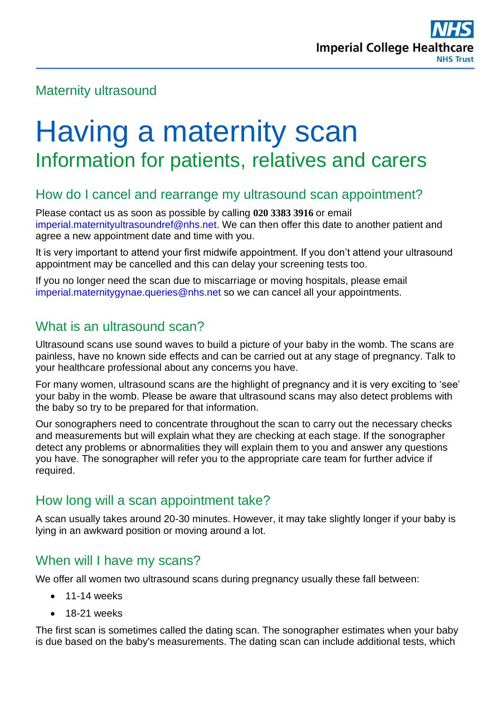# Maternity ultrasound

# Having a maternity scan Information for patients, relatives and carers

## How do I cancel and rearrange my ultrasound scan appointment?

Please contact us as soon as possible by calling **020 3383 3916** or email [imperial.maternityultrasoundref@nhs.net.](mailto:imperial.maternityultrasoundref@nhs.net) We can then offer this date to another patient and agree a new appointment date and time with you.

It is very important to attend your first midwife appointment. If you don't attend your ultrasound appointment may be cancelled and this can delay your screening tests too.

If you no longer need the scan due to miscarriage or moving hospitals, please email [imperial.maternitygynae.queries@nhs.net](mailto:imperial.maternitygynae.queries@nhs.net) so we can cancel all your appointments.

# What is an ultrasound scan?

Ultrasound scans use sound waves to build a picture of your baby in the womb. The scans are painless, have no known side effects and can be carried out at any stage of pregnancy. Talk to your healthcare professional about any concerns you have.

For many women, ultrasound scans are the highlight of pregnancy and it is very exciting to 'see' your baby in the womb. Please be aware that ultrasound scans may also detect problems with the baby so try to be prepared for that information.

Our sonographers need to concentrate throughout the scan to carry out the necessary checks and measurements but will explain what they are checking at each stage. If the sonographer detect any problems or abnormalities they will explain them to you and answer any questions you have. The sonographer will refer you to the appropriate care team for further advice if required.

# How long will a scan appointment take?

A scan usually takes around 20-30 minutes. However, it may take slightly longer if your baby is lying in an awkward position or moving around a lot.

## When will I have my scans?

We offer all women two ultrasound scans during pregnancy usually these fall between:

- 11-14 weeks
- 18-21 weeks

The first scan is sometimes called the dating scan. The sonographer estimates when your baby is due based on the baby's measurements. The dating scan can include additional tests, which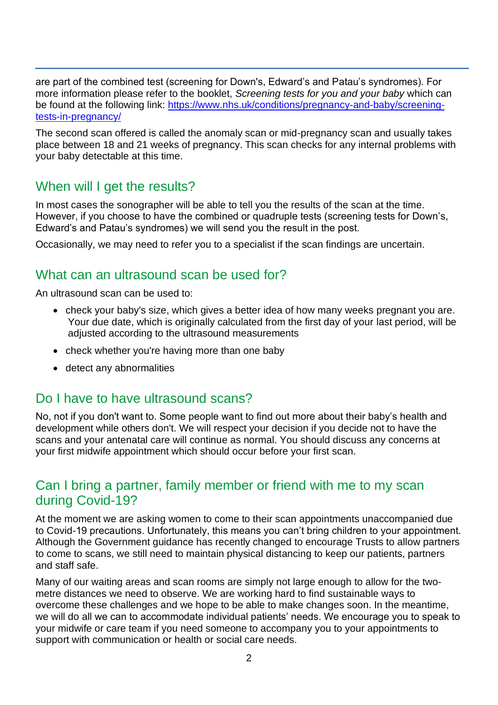are part of the combined test (screening for Down's, Edward's and Patau's syndromes). For more information please refer to the booklet, *Screening tests for you and your baby* which can be found at the following link: [https://www.nhs.uk/conditions/pregnancy-and-baby/screening](https://www.nhs.uk/conditions/pregnancy-and-baby/screening-tests-in-pregnancy/)[tests-in-pregnancy/](https://www.nhs.uk/conditions/pregnancy-and-baby/screening-tests-in-pregnancy/)

The second scan offered is called the anomaly scan or mid-pregnancy scan and usually takes place between 18 and 21 weeks of pregnancy. This scan checks for any internal problems with your baby detectable at this time.

## When will I get the results?

In most cases the sonographer will be able to tell you the results of the scan at the time. However, if you choose to have the combined or quadruple tests (screening tests for Down's, Edward's and Patau's syndromes) we will send you the result in the post.

Occasionally, we may need to refer you to a specialist if the scan findings are uncertain.

#### What can an ultrasound scan be used for?

An ultrasound scan can be used to:

- check your baby's size, which gives a better idea of how many weeks pregnant you are. Your due date, which is originally calculated from the first day of your last period, will be adjusted according to the ultrasound measurements
- check whether you're having more than one baby
- detect any abnormalities

#### Do I have to have ultrasound scans?

No, not if you don't want to. Some people want to find out more about their baby's health and development while others don't. We will respect your decision if you decide not to have the scans and your antenatal care will continue as normal. You should discuss any concerns at your first midwife appointment which should occur before your first scan.

## Can I bring a partner, family member or friend with me to my scan during Covid-19?

At the moment we are asking women to come to their scan appointments unaccompanied due to Covid-19 precautions. Unfortunately, this means you can't bring children to your appointment. Although the Government guidance has recently changed to encourage Trusts to allow partners to come to scans, we still need to maintain physical distancing to keep our patients, partners and staff safe.

Many of our waiting areas and scan rooms are simply not large enough to allow for the twometre distances we need to observe. We are working hard to find sustainable ways to overcome these challenges and we hope to be able to make changes soon. In the meantime, we will do all we can to accommodate individual patients' needs. We encourage you to speak to your midwife or care team if you need someone to accompany you to your appointments to support with communication or health or social care needs.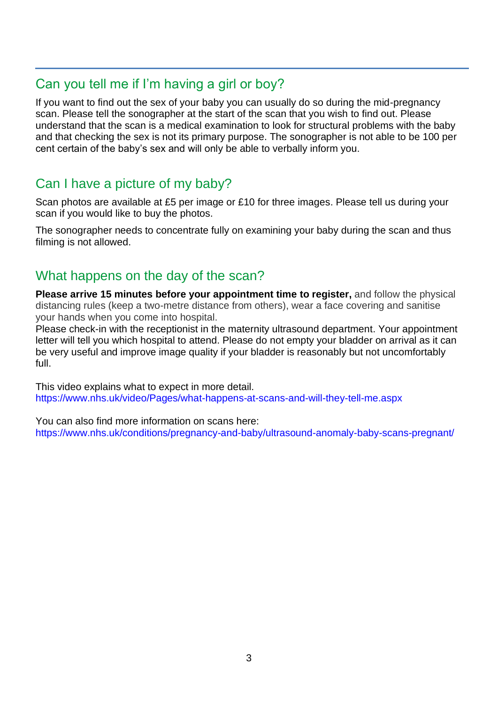# Can you tell me if I'm having a girl or boy?

If you want to find out the sex of your baby you can usually do so during the mid-pregnancy scan. Please tell the sonographer at the start of the scan that you wish to find out. Please understand that the scan is a medical examination to look for structural problems with the baby and that checking the sex is not its primary purpose. The sonographer is not able to be 100 per cent certain of the baby's sex and will only be able to verbally inform you.

# Can I have a picture of my baby?

Scan photos are available at £5 per image or £10 for three images. Please tell us during your scan if you would like to buy the photos.

The sonographer needs to concentrate fully on examining your baby during the scan and thus filming is not allowed.

# What happens on the day of the scan?

**Please arrive 15 minutes before your appointment time to register,** and follow the physical distancing rules (keep a two-metre distance from others), wear a face covering and sanitise your hands when you come into hospital.

Please check-in with the receptionist in the maternity ultrasound department. Your appointment letter will tell you which hospital to attend. Please do not empty your bladder on arrival as it can be very useful and improve image quality if your bladder is reasonably but not uncomfortably full.

This video explains what to expect in more detail. [https://www.nhs.uk/video/Pages/what-happens-at-scans-and-will-they-tell-me.aspx](https://www.nhs.uk/conditions/pregnancy-and-baby/screening-tests-in-pregnancy/)

You can also find more information on scans here: <https://www.nhs.uk/conditions/pregnancy-and-baby/ultrasound-anomaly-baby-scans-pregnant/>